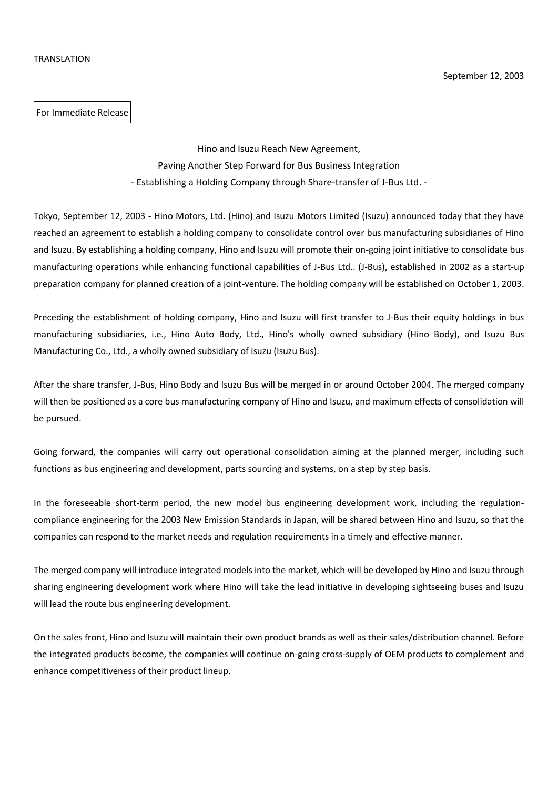For Immediate Release

Hino and Isuzu Reach New Agreement, Paving Another Step Forward for Bus Business Integration - Establishing a Holding Company through Share-transfer of J-Bus Ltd. -

Tokyo, September 12, 2003 - Hino Motors, Ltd. (Hino) and Isuzu Motors Limited (Isuzu) announced today that they have reached an agreement to establish a holding company to consolidate control over bus manufacturing subsidiaries of Hino and Isuzu. By establishing a holding company, Hino and Isuzu will promote their on-going joint initiative to consolidate bus manufacturing operations while enhancing functional capabilities of J-Bus Ltd.. (J-Bus), established in 2002 as a start-up preparation company for planned creation of a joint-venture. The holding company will be established on October 1, 2003.

Preceding the establishment of holding company, Hino and Isuzu will first transfer to J-Bus their equity holdings in bus manufacturing subsidiaries, i.e., Hino Auto Body, Ltd., Hino's wholly owned subsidiary (Hino Body), and Isuzu Bus Manufacturing Co., Ltd., a wholly owned subsidiary of Isuzu (Isuzu Bus).

After the share transfer, J-Bus, Hino Body and Isuzu Bus will be merged in or around October 2004. The merged company will then be positioned as a core bus manufacturing company of Hino and Isuzu, and maximum effects of consolidation will be pursued.

Going forward, the companies will carry out operational consolidation aiming at the planned merger, including such functions as bus engineering and development, parts sourcing and systems, on a step by step basis.

In the foreseeable short-term period, the new model bus engineering development work, including the regulationcompliance engineering for the 2003 New Emission Standards in Japan, will be shared between Hino and Isuzu, so that the companies can respond to the market needs and regulation requirements in a timely and effective manner.

The merged company will introduce integrated models into the market, which will be developed by Hino and Isuzu through sharing engineering development work where Hino will take the lead initiative in developing sightseeing buses and Isuzu will lead the route bus engineering development.

On the sales front, Hino and Isuzu will maintain their own product brands as well as their sales/distribution channel. Before the integrated products become, the companies will continue on-going cross-supply of OEM products to complement and enhance competitiveness of their product lineup.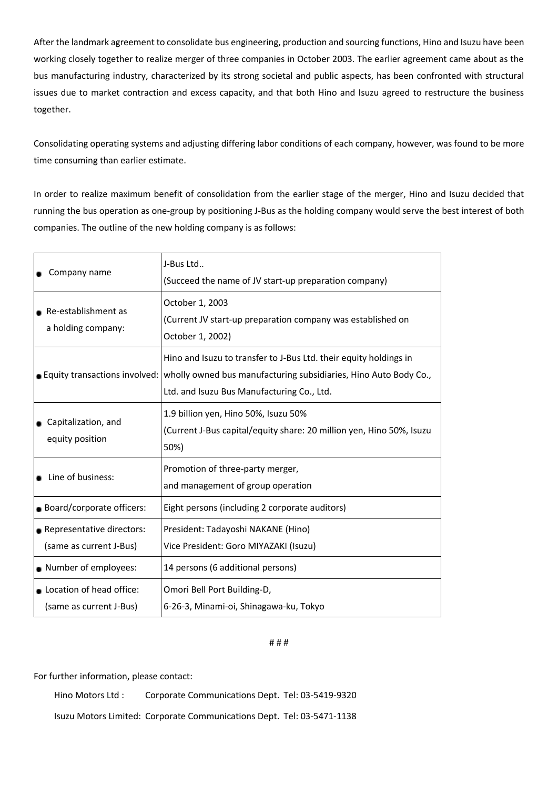After the landmark agreement to consolidate bus engineering, production and sourcing functions, Hino and Isuzu have been working closely together to realize merger of three companies in October 2003. The earlier agreement came about as the bus manufacturing industry, characterized by its strong societal and public aspects, has been confronted with structural issues due to market contraction and excess capacity, and that both Hino and Isuzu agreed to restructure the business together.

Consolidating operating systems and adjusting differing labor conditions of each company, however, was found to be more time consuming than earlier estimate.

In order to realize maximum benefit of consolidation from the earlier stage of the merger, Hino and Isuzu decided that running the bus operation as one-group by positioning J-Bus as the holding company would serve the best interest of both companies. The outline of the new holding company is as follows:

| Company name                                                                | J-Bus Ltd<br>(Succeed the name of JV start-up preparation company)                                                                                                                                                  |
|-----------------------------------------------------------------------------|---------------------------------------------------------------------------------------------------------------------------------------------------------------------------------------------------------------------|
| • Re-establishment as<br>a holding company:                                 | October 1, 2003<br>(Current JV start-up preparation company was established on<br>October 1, 2002)                                                                                                                  |
|                                                                             | Hino and Isuzu to transfer to J-Bus Ltd. their equity holdings in<br>■ Equity transactions involved: wholly owned bus manufacturing subsidiaries, Hino Auto Body Co.,<br>Ltd. and Isuzu Bus Manufacturing Co., Ltd. |
| • Capitalization, and<br>equity position                                    | 1.9 billion yen, Hino 50%, Isuzu 50%<br>(Current J-Bus capital/equity share: 20 million yen, Hino 50%, Isuzu<br>50%)                                                                                                |
| • Line of business:<br>Board/corporate officers:                            | Promotion of three-party merger,<br>and management of group operation<br>Eight persons (including 2 corporate auditors)                                                                                             |
| Representative directors:<br>(same as current J-Bus)                        | President: Tadayoshi NAKANE (Hino)<br>Vice President: Goro MIYAZAKI (Isuzu)                                                                                                                                         |
| Number of employees:<br>Location of head office:<br>(same as current J-Bus) | 14 persons (6 additional persons)<br>Omori Bell Port Building-D,<br>6-26-3, Minami-oi, Shinagawa-ku, Tokyo                                                                                                          |

## # # #

For further information, please contact:

Hino Motors Ltd : Corporate Communications Dept. Tel: 03-5419-9320 Isuzu Motors Limited: Corporate Communications Dept. Tel: 03-5471-1138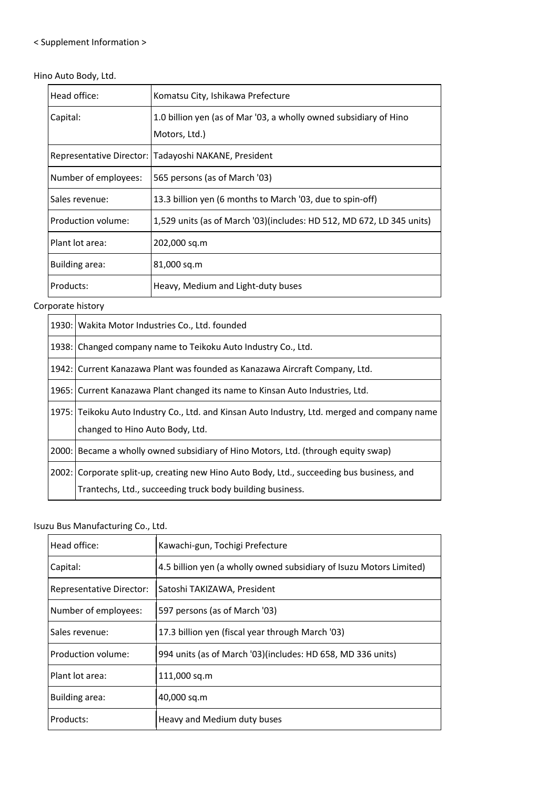## < Supplement Information >

## Hino Auto Body, Ltd.

| Head office:         | Komatsu City, Ishikawa Prefecture                                     |
|----------------------|-----------------------------------------------------------------------|
| Capital:             | 1.0 billion yen (as of Mar '03, a wholly owned subsidiary of Hino     |
|                      | Motors, Ltd.)                                                         |
|                      | Representative Director: Tadayoshi NAKANE, President                  |
| Number of employees: | 565 persons (as of March '03)                                         |
| Sales revenue:       | 13.3 billion yen (6 months to March '03, due to spin-off)             |
| Production volume:   | 1,529 units (as of March '03)(includes: HD 512, MD 672, LD 345 units) |
| Plant lot area:      | 202,000 sq.m                                                          |
| Building area:       | 81,000 sq.m                                                           |
| Products:            | Heavy, Medium and Light-duty buses                                    |

Corporate history

1930: Wakita Motor Industries Co., Ltd. founded

1938: Changed company name to Teikoku Auto Industry Co., Ltd.

- 1942: Current Kanazawa Plant was founded as Kanazawa Aircraft Company, Ltd.
- 1965: Current Kanazawa Plant changed its name to Kinsan Auto Industries, Ltd.
- 1975: Teikoku Auto Industry Co., Ltd. and Kinsan Auto Industry, Ltd. merged and company name changed to Hino Auto Body, Ltd.
- 2000: Became a wholly owned subsidiary of Hino Motors, Ltd. (through equity swap)
- 2002: Corporate split-up, creating new Hino Auto Body, Ltd., succeeding bus business, and Trantechs, Ltd., succeeding truck body building business.

## Isuzu Bus Manufacturing Co., Ltd.

| Head office:                    | Kawachi-gun, Tochigi Prefecture                                     |
|---------------------------------|---------------------------------------------------------------------|
| Capital:                        | 4.5 billion yen (a wholly owned subsidiary of Isuzu Motors Limited) |
| <b>Representative Director:</b> | Satoshi TAKIZAWA, President                                         |
| Number of employees:            | 597 persons (as of March '03)                                       |
| Sales revenue:                  | 17.3 billion yen (fiscal year through March '03)                    |
| Production volume:              | 994 units (as of March '03)(includes: HD 658, MD 336 units)         |
| Plant lot area:                 | 111,000 sq.m                                                        |
| Building area:                  | 40,000 sq.m                                                         |
| Products:                       | Heavy and Medium duty buses                                         |